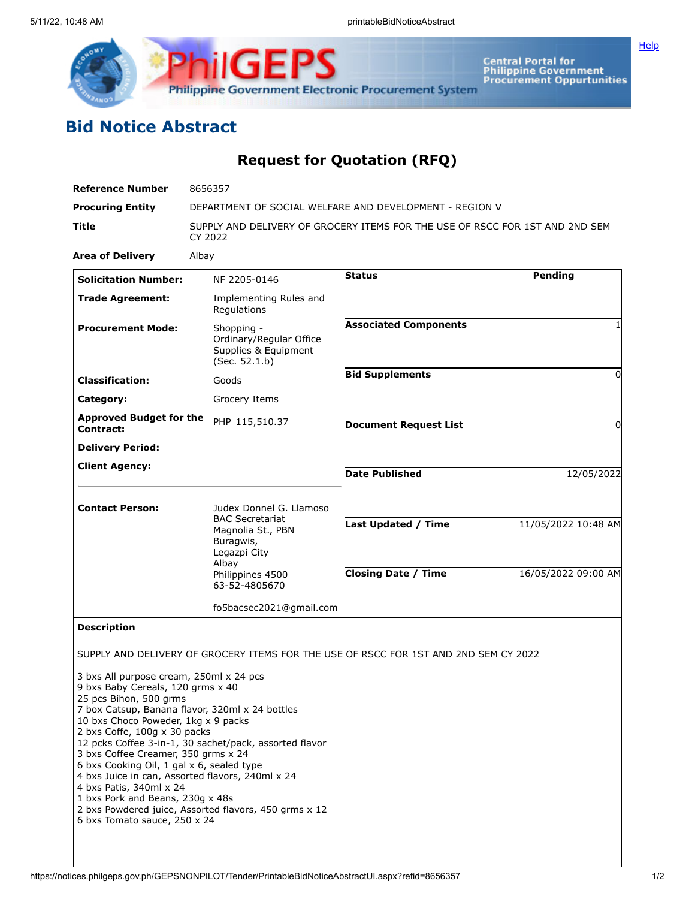

**Central Portal for<br>Philippine Government<br>Procurement Oppurtunities** 

**[Help](javascript:void(window.open()** 

## **Bid Notice Abstract**

## **Request for Quotation (RFQ)**

| <b>Reference Number</b>                                                                                                                                                                                                                                                                                                                                                                                                                 | 8656357                                                                                                                |                                                                                      |                     |
|-----------------------------------------------------------------------------------------------------------------------------------------------------------------------------------------------------------------------------------------------------------------------------------------------------------------------------------------------------------------------------------------------------------------------------------------|------------------------------------------------------------------------------------------------------------------------|--------------------------------------------------------------------------------------|---------------------|
| <b>Procuring Entity</b>                                                                                                                                                                                                                                                                                                                                                                                                                 | DEPARTMENT OF SOCIAL WELFARE AND DEVELOPMENT - REGION V                                                                |                                                                                      |                     |
| Title                                                                                                                                                                                                                                                                                                                                                                                                                                   | SUPPLY AND DELIVERY OF GROCERY ITEMS FOR THE USE OF RSCC FOR 1ST AND 2ND SEM<br>CY 2022                                |                                                                                      |                     |
| <b>Area of Delivery</b>                                                                                                                                                                                                                                                                                                                                                                                                                 | Albay                                                                                                                  |                                                                                      |                     |
| <b>Solicitation Number:</b>                                                                                                                                                                                                                                                                                                                                                                                                             | NF 2205-0146                                                                                                           | <b>Status</b>                                                                        | Pending             |
| <b>Trade Agreement:</b>                                                                                                                                                                                                                                                                                                                                                                                                                 | Implementing Rules and<br>Regulations                                                                                  |                                                                                      |                     |
| <b>Procurement Mode:</b>                                                                                                                                                                                                                                                                                                                                                                                                                | Shopping -<br>Ordinary/Regular Office<br>Supplies & Equipment<br>(Sec. 52.1.b)                                         | <b>Associated Components</b>                                                         |                     |
| <b>Classification:</b>                                                                                                                                                                                                                                                                                                                                                                                                                  | Goods                                                                                                                  | <b>Bid Supplements</b>                                                               | 0                   |
| Category:                                                                                                                                                                                                                                                                                                                                                                                                                               | Grocery Items                                                                                                          |                                                                                      |                     |
| <b>Approved Budget for the</b><br>Contract:                                                                                                                                                                                                                                                                                                                                                                                             | PHP 115,510.37                                                                                                         | <b>Document Request List</b>                                                         | $\Omega$            |
| <b>Delivery Period:</b>                                                                                                                                                                                                                                                                                                                                                                                                                 |                                                                                                                        |                                                                                      |                     |
| <b>Client Agency:</b>                                                                                                                                                                                                                                                                                                                                                                                                                   |                                                                                                                        | <b>Date Published</b>                                                                | 12/05/2022          |
| <b>Contact Person:</b>                                                                                                                                                                                                                                                                                                                                                                                                                  | Judex Donnel G. Llamoso                                                                                                |                                                                                      |                     |
|                                                                                                                                                                                                                                                                                                                                                                                                                                         | <b>BAC Secretariat</b><br>Magnolia St., PBN<br>Buragwis,<br>Legazpi City<br>Albay<br>Philippines 4500<br>63-52-4805670 | Last Updated / Time                                                                  | 11/05/2022 10:48 AM |
|                                                                                                                                                                                                                                                                                                                                                                                                                                         |                                                                                                                        | <b>Closing Date / Time</b>                                                           | 16/05/2022 09:00 AM |
|                                                                                                                                                                                                                                                                                                                                                                                                                                         | fo5bacsec2021@gmail.com                                                                                                |                                                                                      |                     |
| <b>Description</b>                                                                                                                                                                                                                                                                                                                                                                                                                      |                                                                                                                        |                                                                                      |                     |
|                                                                                                                                                                                                                                                                                                                                                                                                                                         |                                                                                                                        | SUPPLY AND DELIVERY OF GROCERY ITEMS FOR THE USE OF RSCC FOR 1ST AND 2ND SEM CY 2022 |                     |
| 3 bxs All purpose cream, 250ml x 24 pcs<br>9 bxs Baby Cereals, 120 grms x 40<br>25 pcs Bihon, 500 grms<br>7 box Catsup, Banana flavor, 320ml x 24 bottles<br>10 bxs Choco Poweder, 1kg x 9 packs<br>2 bxs Coffe, 100g x 30 packs<br>3 bxs Coffee Creamer, 350 grms x 24<br>6 bxs Cooking Oil, 1 gal x 6, sealed type<br>4 bxs Juice in can, Assorted flavors, 240ml x 24<br>4 bxs Patis, 340ml x 24<br>1 bxs Pork and Beans, 230g x 48s | 12 pcks Coffee 3-in-1, 30 sachet/pack, assorted flavor<br>2 bxs Powdered juice, Assorted flavors, 450 grms x 12        |                                                                                      |                     |